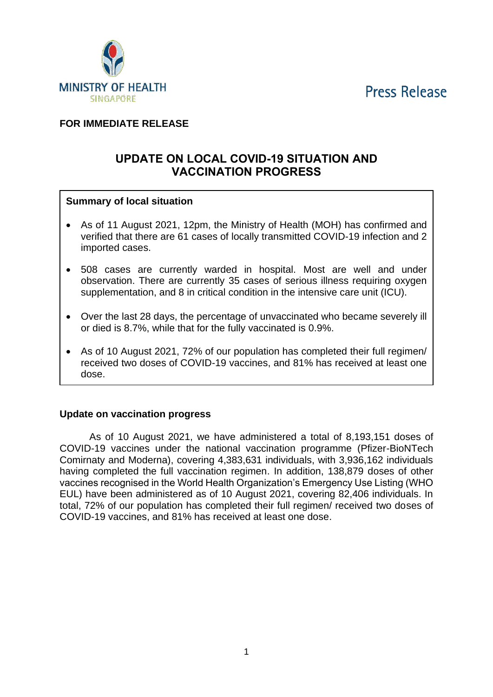**Press Release** 



## **FOR IMMEDIATE RELEASE**

# **UPDATE ON LOCAL COVID-19 SITUATION AND VACCINATION PROGRESS**

### **Summary of local situation**

- As of 11 August 2021, 12pm, the Ministry of Health (MOH) has confirmed and verified that there are 61 cases of locally transmitted COVID-19 infection and 2 imported cases.
- 508 cases are currently warded in hospital. Most are well and under observation. There are currently 35 cases of serious illness requiring oxygen supplementation, and 8 in critical condition in the intensive care unit (ICU).
- Over the last 28 days, the percentage of unvaccinated who became severely ill or died is 8.7%, while that for the fully vaccinated is 0.9%.
- As of 10 August 2021, 72% of our population has completed their full regimen/ received two doses of COVID-19 vaccines, and 81% has received at least one dose.

### **Update on vaccination progress**

As of 10 August 2021, we have administered a total of 8,193,151 doses of COVID-19 vaccines under the national vaccination programme (Pfizer-BioNTech Comirnaty and Moderna), covering 4,383,631 individuals, with 3,936,162 individuals having completed the full vaccination regimen. In addition, 138,879 doses of other vaccines recognised in the World Health Organization's Emergency Use Listing (WHO EUL) have been administered as of 10 August 2021, covering 82,406 individuals. In total, 72% of our population has completed their full regimen/ received two doses of COVID-19 vaccines, and 81% has received at least one dose.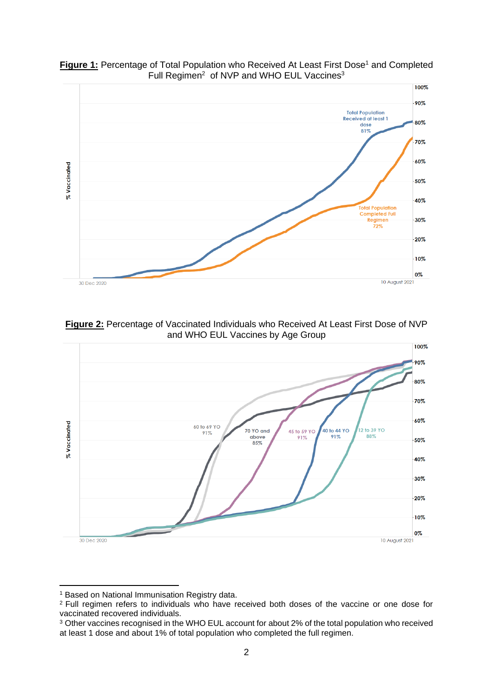

**Figure 1:** Percentage of Total Population who Received At Least First Dose<sup>1</sup> and Completed Full Regimen<sup>2</sup> of NVP and WHO EUL Vaccines<sup>3</sup>

**Figure 2:** Percentage of Vaccinated Individuals who Received At Least First Dose of NVP and WHO EUL Vaccines by Age Group



<sup>1</sup> Based on National Immunisation Registry data.

<sup>&</sup>lt;sup>2</sup> Full regimen refers to individuals who have received both doses of the vaccine or one dose for vaccinated recovered individuals.

<sup>&</sup>lt;sup>3</sup> Other vaccines recognised in the WHO EUL account for about 2% of the total population who received at least 1 dose and about 1% of total population who completed the full regimen.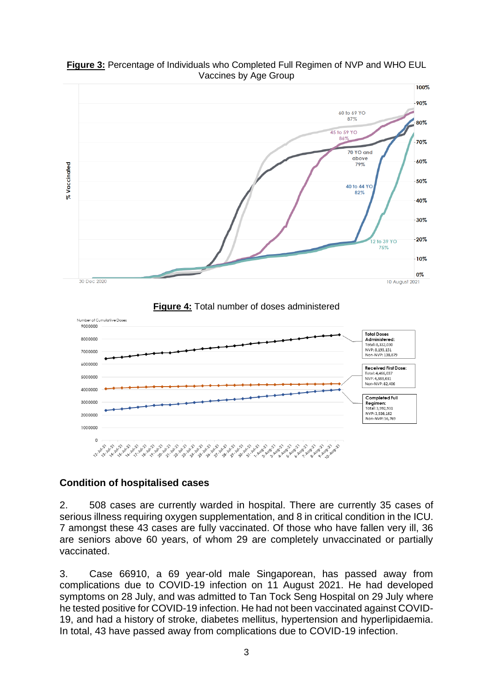

**Figure 3:** Percentage of Individuals who Completed Full Regimen of NVP and WHO EUL Vaccines by Age Group

**Figure 4:** Total number of doses administered



### **Condition of hospitalised cases**

2. 508 cases are currently warded in hospital. There are currently 35 cases of serious illness requiring oxygen supplementation, and 8 in critical condition in the ICU. 7 amongst these 43 cases are fully vaccinated. Of those who have fallen very ill, 36 are seniors above 60 years, of whom 29 are completely unvaccinated or partially vaccinated.

3. Case 66910, a 69 year-old male Singaporean, has passed away from complications due to COVID-19 infection on 11 August 2021. He had developed symptoms on 28 July, and was admitted to Tan Tock Seng Hospital on 29 July where he tested positive for COVID-19 infection. He had not been vaccinated against COVID-19, and had a history of stroke, diabetes mellitus, hypertension and hyperlipidaemia. In total, 43 have passed away from complications due to COVID-19 infection.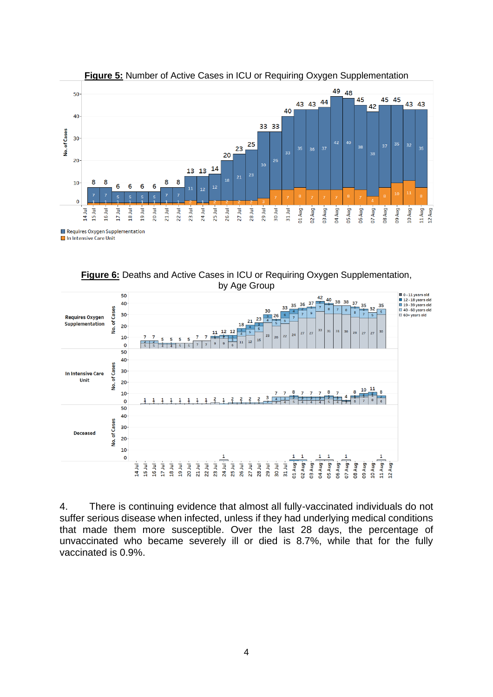

#### **Figure 5:** Number of Active Cases in ICU or Requiring Oxygen Supplementation

**Figure 6:** Deaths and Active Cases in ICU or Requiring Oxygen Supplementation, by Age Group



4. There is continuing evidence that almost all fully-vaccinated individuals do not suffer serious disease when infected, unless if they had underlying medical conditions that made them more susceptible. Over the last 28 days, the percentage of unvaccinated who became severely ill or died is 8.7%, while that for the fully vaccinated is 0.9%.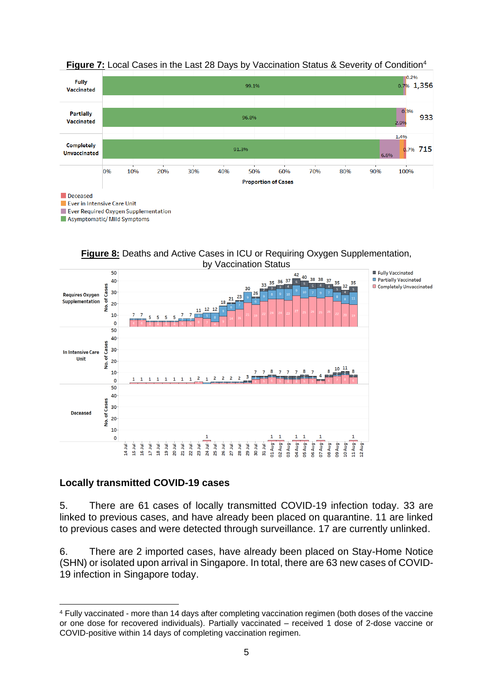

### **Figure 7:** Local Cases in the Last 28 Days by Vaccination Status & Severity of Condition<sup>4</sup>

**Figure 8:** Deaths and Active Cases in ICU or Requiring Oxygen Supplementation, by Vaccination Status



### **Locally transmitted COVID-19 cases**

5. There are 61 cases of locally transmitted COVID-19 infection today. 33 are linked to previous cases, and have already been placed on quarantine. 11 are linked to previous cases and were detected through surveillance. 17 are currently unlinked.

6. There are 2 imported cases, have already been placed on Stay-Home Notice (SHN) or isolated upon arrival in Singapore. In total, there are 63 new cases of COVID-19 infection in Singapore today.

<sup>4</sup> Fully vaccinated - more than 14 days after completing vaccination regimen (both doses of the vaccine or one dose for recovered individuals). Partially vaccinated – received 1 dose of 2-dose vaccine or COVID-positive within 14 days of completing vaccination regimen.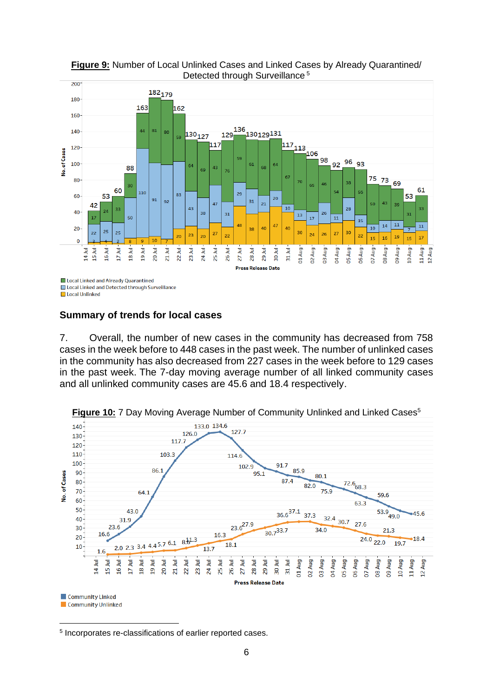

**Figure 9:** Number of Local Unlinked Cases and Linked Cases by Already Quarantined/ Detected through Surveillance<sup>5</sup>

**Summary of trends for local cases**

7. Overall, the number of new cases in the community has decreased from 758 cases in the week before to 448 cases in the past week. The number of unlinked cases in the community has also decreased from 227 cases in the week before to 129 cases in the past week. The 7-day moving average number of all linked community cases and all unlinked community cases are 45.6 and 18.4 respectively.



**Figure 10:** 7 Day Moving Average Number of Community Unlinked and Linked Cases<sup>5</sup>

5 Incorporates re-classifications of earlier reported cases.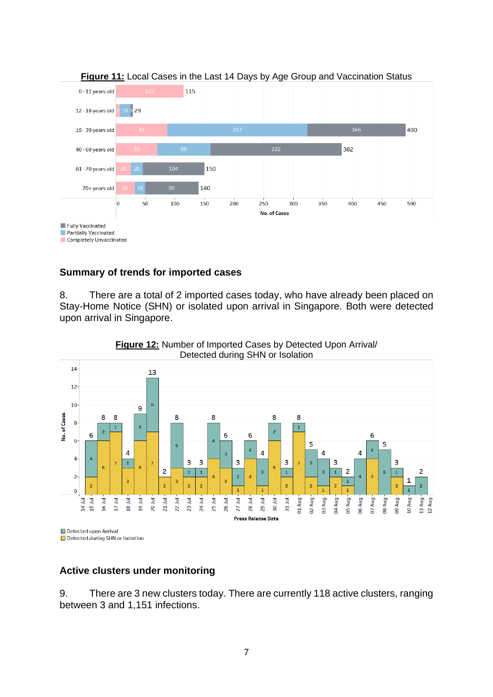

### **Summary of trends for imported cases**

8. There are a total of 2 imported cases today, who have already been placed on Stay-Home Notice (SHN) or isolated upon arrival in Singapore. Both were detected upon arrival in Singapore.



**Figure 12:** Number of Imported Cases by Detected Upon Arrival/ Detected during SHN or Isolation

Detected during SHN or Isolation

### **Active clusters under monitoring**

9. There are 3 new clusters today. There are currently 118 active clusters, ranging between 3 and 1,151 infections.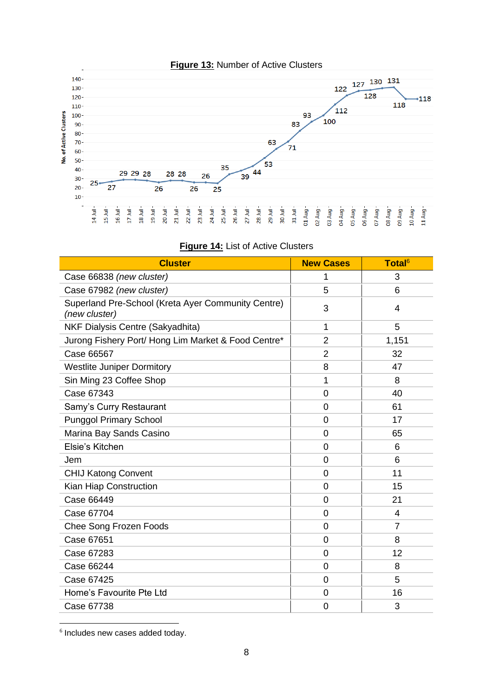

| <b>Cluster</b>                                                      | <b>New Cases</b> | Total <sup>6</sup> |
|---------------------------------------------------------------------|------------------|--------------------|
| Case 66838 (new cluster)                                            | 1                | 3                  |
| Case 67982 (new cluster)                                            | 5                | 6                  |
| Superland Pre-School (Kreta Ayer Community Centre)<br>(new cluster) | 3                | 4                  |
| NKF Dialysis Centre (Sakyadhita)                                    | 1                | 5                  |
| Jurong Fishery Port/ Hong Lim Market & Food Centre*                 | $\overline{2}$   | 1,151              |
| Case 66567                                                          | $\overline{2}$   | 32                 |
| <b>Westlite Juniper Dormitory</b>                                   | 8                | 47                 |
| Sin Ming 23 Coffee Shop                                             | 1                | 8                  |
| Case 67343                                                          | $\overline{0}$   | 40                 |
| Samy's Curry Restaurant                                             | $\overline{0}$   | 61                 |
| <b>Punggol Primary School</b>                                       | 0                | 17                 |
| Marina Bay Sands Casino                                             | $\Omega$         | 65                 |
| Elsie's Kitchen                                                     | 0                | 6                  |
| Jem                                                                 | $\overline{0}$   | 6                  |
| <b>CHIJ Katong Convent</b>                                          | $\overline{0}$   | 11                 |
| Kian Hiap Construction                                              | 0                | 15                 |
| Case 66449                                                          | 0                | 21                 |
| Case 67704                                                          | 0                | 4                  |
| <b>Chee Song Frozen Foods</b>                                       | $\overline{0}$   | $\overline{7}$     |
| Case 67651                                                          | 0                | 8                  |
| Case 67283                                                          | 0                | 12                 |
| Case 66244                                                          | 0                | 8                  |
| Case 67425                                                          | $\overline{0}$   | 5                  |
| Home's Favourite Pte Ltd                                            | $\overline{0}$   | 16                 |
| Case 67738                                                          | 0                | 3                  |

|  |  |  |  |  |  | <b>Figure 14: List of Active Clusters</b> |
|--|--|--|--|--|--|-------------------------------------------|
|--|--|--|--|--|--|-------------------------------------------|

6 Includes new cases added today.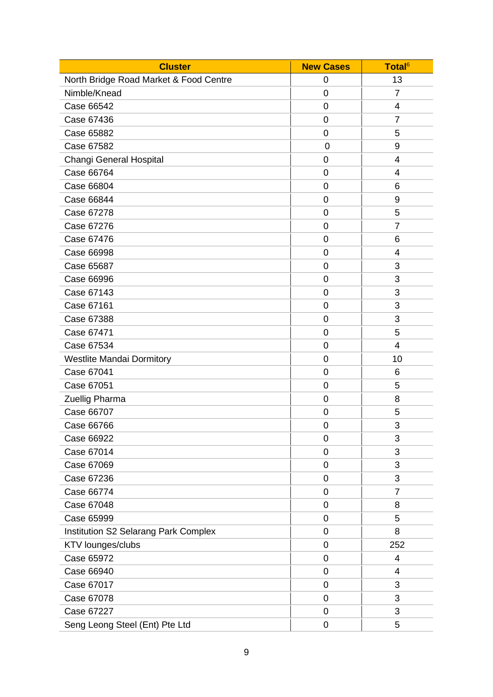| <b>Cluster</b>                              | <b>New Cases</b> | Total <sup>6</sup> |
|---------------------------------------------|------------------|--------------------|
| North Bridge Road Market & Food Centre      | 0                | 13                 |
| Nimble/Knead                                | $\mathbf 0$      | $\overline{7}$     |
| Case 66542                                  | $\overline{0}$   | 4                  |
| Case 67436                                  | 0                | $\overline{7}$     |
| Case 65882                                  | $\overline{0}$   | 5                  |
| Case 67582                                  | 0                | 9                  |
| Changi General Hospital                     | 0                | 4                  |
| Case 66764                                  | $\overline{0}$   | 4                  |
| Case 66804                                  | 0                | 6                  |
| Case 66844                                  | $\overline{0}$   | 9                  |
| Case 67278                                  | $\mathbf 0$      | 5                  |
| Case 67276                                  | $\mathbf 0$      | $\overline{7}$     |
| Case 67476                                  | 0                | 6                  |
| Case 66998                                  | $\mathbf 0$      | $\overline{4}$     |
| Case 65687                                  | $\mathbf 0$      | 3                  |
| Case 66996                                  | 0                | 3                  |
| Case 67143                                  | $\overline{0}$   | 3                  |
| Case 67161                                  | $\overline{0}$   | 3                  |
| Case 67388                                  | $\overline{0}$   | 3                  |
| Case 67471                                  | $\overline{0}$   | 5                  |
| Case 67534                                  | $\overline{0}$   | $\overline{4}$     |
| <b>Westlite Mandai Dormitory</b>            | $\overline{0}$   | 10                 |
| Case 67041                                  | $\mathbf 0$      | 6                  |
| Case 67051                                  | $\mathbf 0$      | 5                  |
| Zuellig Pharma                              | 0                | 8                  |
| Case 66707                                  | 0                | 5                  |
| Case 66766                                  | $\mathbf 0$      | 3                  |
| Case 66922                                  | 0                | 3                  |
| Case 67014                                  | $\mathbf 0$      | 3                  |
| Case 67069                                  | $\mathbf 0$      | 3                  |
| Case 67236                                  | 0                | 3                  |
| Case 66774                                  | $\mathbf 0$      | $\overline{7}$     |
| Case 67048                                  | $\mathbf 0$      | 8                  |
| Case 65999                                  | $\mathbf 0$      | 5                  |
| <b>Institution S2 Selarang Park Complex</b> | $\mathbf 0$      | 8                  |
| KTV lounges/clubs                           | $\mathbf 0$      | 252                |
| Case 65972                                  | $\mathbf 0$      | 4                  |
| Case 66940                                  | 0                | 4                  |
| Case 67017                                  | $\mathbf 0$      | 3                  |
| Case 67078                                  | 0                | 3                  |
| Case 67227                                  | 0                | 3                  |
| Seng Leong Steel (Ent) Pte Ltd              | $\pmb{0}$        | 5                  |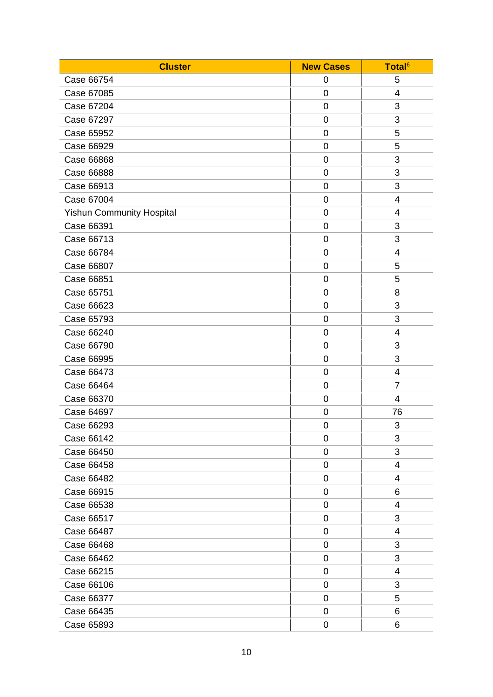| <b>Cluster</b>                   | <b>New Cases</b> | Total <sup>6</sup> |
|----------------------------------|------------------|--------------------|
| Case 66754                       | 0                | 5                  |
| Case 67085                       | $\mathbf 0$      | 4                  |
| Case 67204                       | 0                | 3                  |
| Case 67297                       | 0                | 3                  |
| Case 65952                       | $\mathbf 0$      | 5                  |
| Case 66929                       | $\mathbf 0$      | 5                  |
| Case 66868                       | 0                | 3                  |
| <b>Case 66888</b>                | $\mathbf 0$      | 3                  |
| Case 66913                       | $\mathbf 0$      | 3                  |
| Case 67004                       | 0                | 4                  |
| <b>Yishun Community Hospital</b> | $\mathbf 0$      | 4                  |
| Case 66391                       | 0                | 3                  |
| Case 66713                       | $\mathbf 0$      | 3                  |
| Case 66784                       | $\mathbf 0$      | 4                  |
| Case 66807                       | 0                | 5                  |
| Case 66851                       | 0                | 5                  |
| Case 65751                       | $\mathbf 0$      | 8                  |
| Case 66623                       | $\mathbf 0$      | 3                  |
| Case 65793                       | 0                | 3                  |
| Case 66240                       | $\mathbf 0$      | 4                  |
| Case 66790                       | $\mathbf 0$      | 3                  |
| Case 66995                       | 0                | 3                  |
| Case 66473                       | $\mathbf 0$      | 4                  |
| Case 66464                       | 0                | $\overline{7}$     |
| Case 66370                       | 0                | 4                  |
| Case 64697                       | $\mathbf 0$      | 76                 |
| Case 66293                       | $\mathbf 0$      | 3                  |
| Case 66142                       | 0                | 3                  |
| Case 66450                       | 0                | 3                  |
| Case 66458                       | $\overline{0}$   | 4                  |
| Case 66482                       | 0                | 4                  |
| Case 66915                       | $\pmb{0}$        | 6                  |
| Case 66538                       | $\overline{0}$   | 4                  |
| Case 66517                       | 0                | 3                  |
| Case 66487                       | $\pmb{0}$        | 4                  |
| Case 66468                       | $\overline{0}$   | 3                  |
| Case 66462                       | 0                | 3                  |
| Case 66215                       | 0                | 4                  |
| Case 66106                       | $\mathbf 0$      | 3                  |
| Case 66377                       | $\mathbf 0$      | 5                  |
| Case 66435                       | 0                | 6                  |
| Case 65893                       | 0                | 6                  |